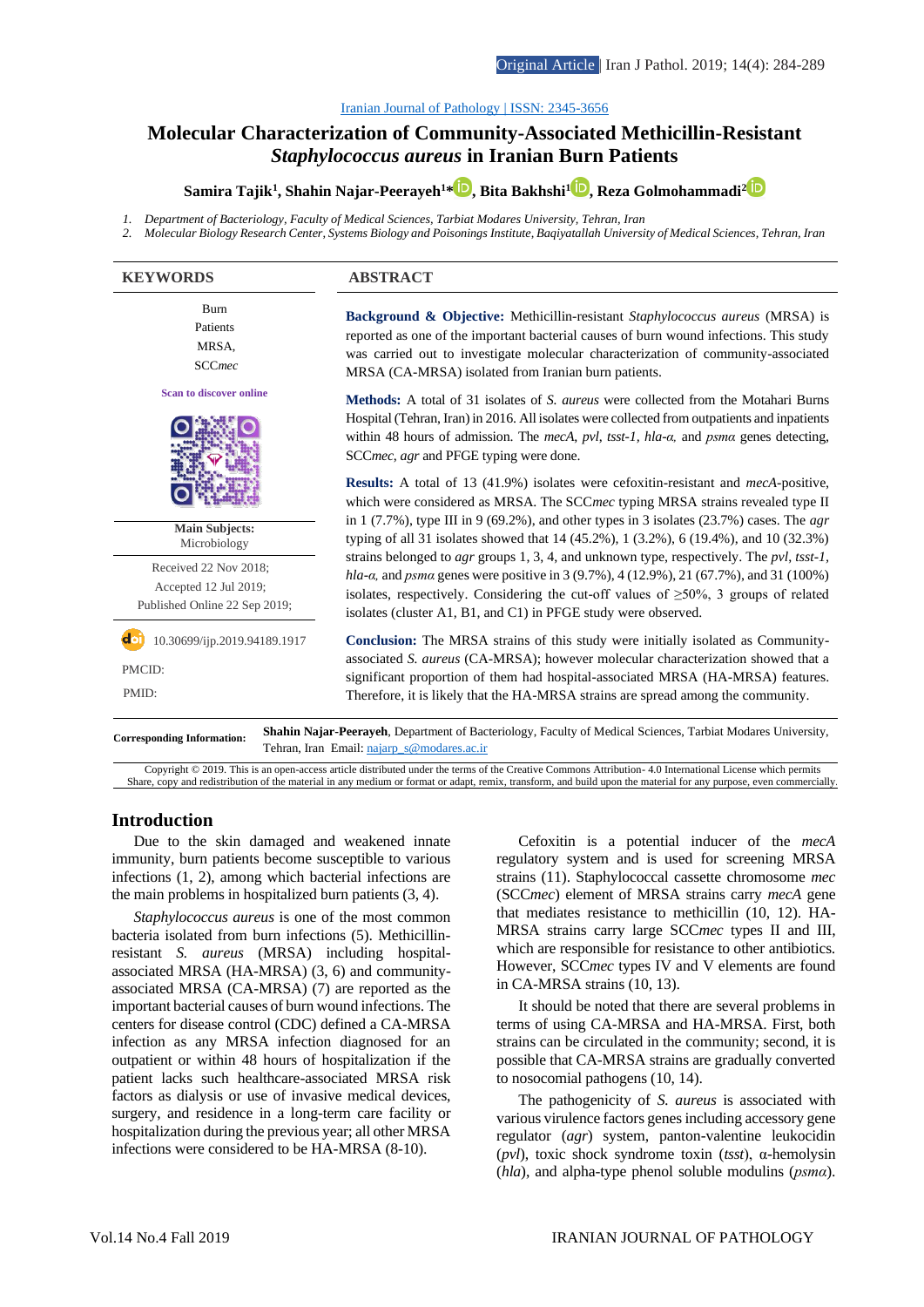#### [Iranian Journal of Pathology | ISSN: 2345-3656](http://ijp.iranpath.org/)

# **[Molecular Characterization of Community-Associated Methicillin-Resistant](http://ijp.iranpath.org/article_36629.html)**  *Staphylococcus aureus* **[in Iranian Burn Patients](http://ijp.iranpath.org/article_36629.html)**

**Samira Tajik<sup>1</sup> , Shahin Najar-Peerayeh<sup>1</sup>[\\*](http://orcid.org/0000-0001-5404-9190) , Bita Bakhshi<sup>1</sup> [,](http://orcid.org/0000-0002-7523-7905) Reza Golmohammadi[2](http://orcid.org/0000-0001-9440-3262)**

- *1. Department of Bacteriology, Faculty of Medical Sciences, Tarbiat Modares University, Tehran, Iran*
- *2. Molecular Biology Research Center, Systems Biology and Poisonings Institute, Baqiyatallah University of Medical Sciences, Tehran, Iran*

| <b>KEYWORDS</b>                                                                 | <b>ABSTRACT</b>                                                                                                                                                                                                                                                                                                                                                             |
|---------------------------------------------------------------------------------|-----------------------------------------------------------------------------------------------------------------------------------------------------------------------------------------------------------------------------------------------------------------------------------------------------------------------------------------------------------------------------|
| Burn<br>Patients<br>MRSA,<br><b>SCCmec</b>                                      | <b>Background &amp; Objective:</b> Methicillin-resistant <i>Staphylococcus aureus</i> (MRSA) is<br>reported as one of the important bacterial causes of burn wound infections. This study<br>was carried out to investigate molecular characterization of community-associated<br>MRSA (CA-MRSA) isolated from Iranian burn patients.                                       |
| <b>Scan to discover online</b>                                                  | <b>Methods:</b> A total of 31 isolates of S. <i>aureus</i> were collected from the Motahari Burns<br>Hospital (Tehran, Iran) in 2016. All isolates were collected from outpatients and inpatients<br>within 48 hours of admission. The mecA, pvl, tsst-1, hla-a, and psma genes detecting,<br>SCCmec, agr and PFGE typing were done.                                        |
| <b>Main Subjects:</b><br>Microbiology                                           | <b>Results:</b> A total of 13 (41.9%) isolates were cefoxitin-resistant and <i>mecA</i> -positive,<br>which were considered as MRSA. The SCCmec typing MRSA strains revealed type II<br>in 1 (7.7%), type III in 9 (69.2%), and other types in 3 isolates (23.7%) cases. The $agr$<br>typing of all 31 isolates showed that 14 (45.2%), 1 (3.2%), 6 (19.4%), and 10 (32.3%) |
| Received 22 Nov 2018;<br>Accepted 12 Jul 2019;<br>Published Online 22 Sep 2019; | strains belonged to <i>agr</i> groups 1, 3, 4, and unknown type, respectively. The <i>pvl</i> , tsst-1,<br>hla- $\alpha$ , and psma genes were positive in 3 (9.7%), 4 (12.9%), 21 (67.7%), and 31 (100%)<br>isolates, respectively. Considering the cut-off values of $\geq 50\%$ , 3 groups of related<br>isolates (cluster A1, B1, and C1) in PFGE study were observed.  |
| 10.30699/ijp.2019.94189.1917<br>PMCID:<br>PMID:                                 | <b>Conclusion:</b> The MRSA strains of this study were initially isolated as Community-<br>associated S. aureus (CA-MRSA); however molecular characterization showed that a<br>significant proportion of them had hospital-associated MRSA (HA-MRSA) features.<br>Therefore, it is likely that the HA-MRSA strains are spread among the community.                          |
| <b>Corresponding Information:</b>                                               | Shahin Najar-Peerayeh, Department of Bacteriology, Faculty of Medical Sciences, Tarbiat Modares University,                                                                                                                                                                                                                                                                 |

Tehran, Iran Email: najarp\_s@modares.ac.ir

Copyright © 2019. This is an open-access article distributed under the terms of the Creative Commons Attribution- 4.0 International License which permits Share, copy and redistribution of the material in any medium or format or adapt, remix, transform, and build upon the material for any purpose, even commercially.

# **Introduction**

Due to the skin damaged and weakened innate immunity, burn patients become susceptible to various infections (1, 2), among which bacterial infections are the main problems in hospitalized burn patients (3, 4).

*Staphylococcus aureus* is one of the most common bacteria isolated from burn infections (5). Methicillinresistant *S. aureus* (MRSA) including hospitalassociated MRSA (HA-MRSA) (3, 6) and communityassociated MRSA (CA-MRSA) (7) are reported as the important bacterial causes of burn wound infections. The centers for disease control (CDC) defined a CA-MRSA infection as any MRSA infection diagnosed for an outpatient or within 48 hours of hospitalization if the patient lacks such healthcare-associated MRSA risk factors as dialysis or use of invasive medical devices, surgery, and residence in a long-term care facility or hospitalization during the previous year; all other MRSA infections were considered to be HA-MRSA (8-10).

Cefoxitin is a potential inducer of the *mecA*  regulatory system and is used for screening MRSA strains (11). Staphylococcal cassette chromosome *mec* (SCC*mec*) element of MRSA strains carry *mecA* gene that mediates resistance to methicillin (10, 12). HA-MRSA strains carry large SCC*mec* types II and III, which are responsible for resistance to other antibiotics. However, SCC*mec* types IV and V elements are found in CA-MRSA strains (10, 13).

It should be noted that there are several problems in terms of using CA-MRSA and HA-MRSA. First, both strains can be circulated in the community; second, it is possible that CA-MRSA strains are gradually converted to nosocomial pathogens (10, 14).

The pathogenicity of *S. aureus* is associated with various virulence factors genes including accessory gene regulator (*agr*) system, panton-valentine leukocidin (*pvl*), toxic shock syndrome toxin (*tsst*), α-hemolysin (*hla*), and alpha-type phenol soluble modulins (*psmα*).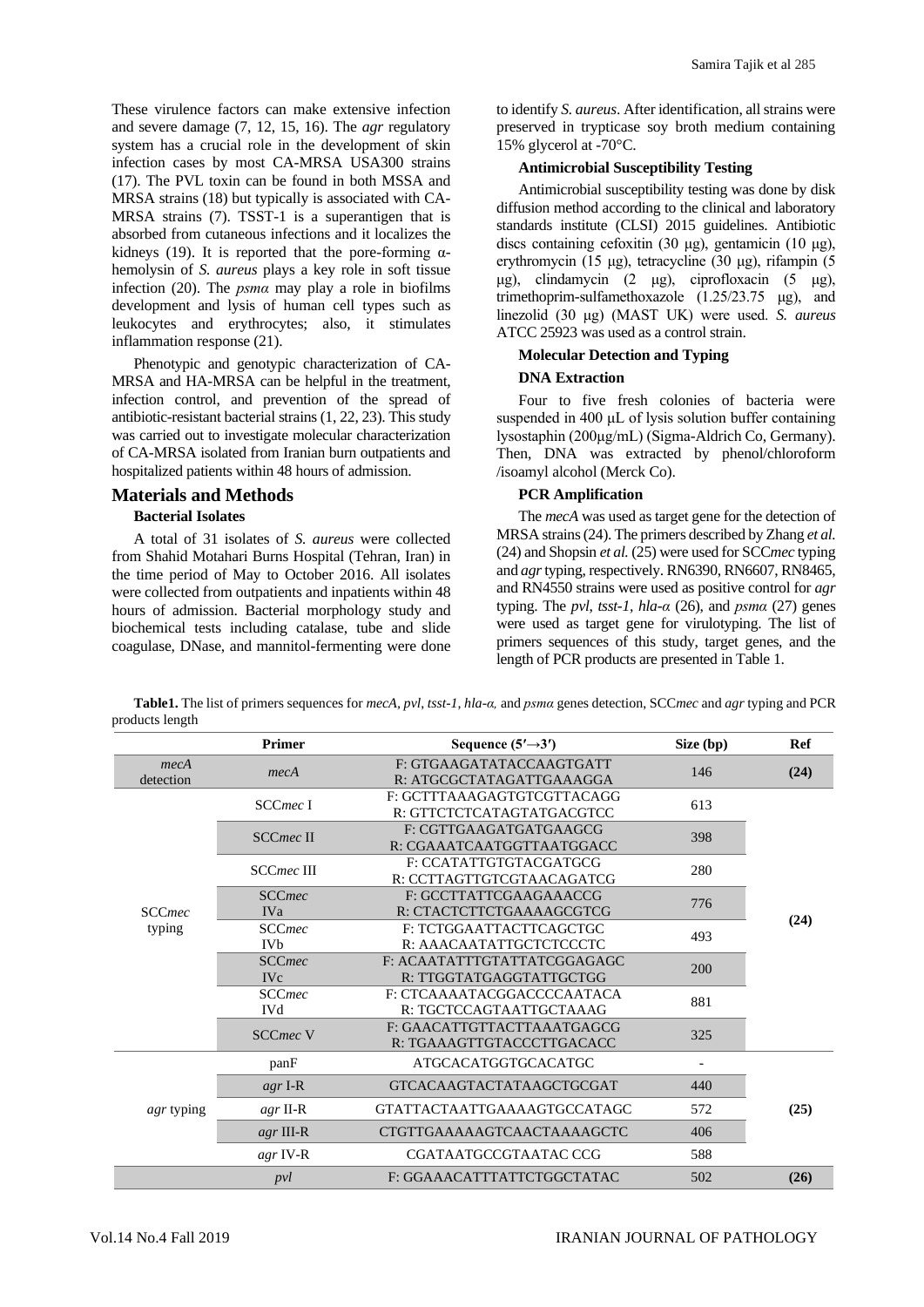These virulence factors can make extensive infection and severe damage (7, 12, 15, 16). The *agr* regulatory system has a crucial role in the development of skin infection cases by most CA-MRSA USA300 strains (17). The PVL toxin can be found in both MSSA and MRSA strains (18) but typically is associated with CA-MRSA strains (7). TSST-1 is a superantigen that is absorbed from cutaneous infections and it localizes the kidneys (19). It is reported that the pore-forming  $\alpha$ hemolysin of *S. aureus* plays a key role in soft tissue infection (20). The *psmα* may play a role in biofilms development and lysis of human cell types such as leukocytes and erythrocytes; also, it stimulates inflammation response (21).

Phenotypic and genotypic characterization of CA-MRSA and HA-MRSA can be helpful in the treatment, infection control, and prevention of the spread of antibiotic-resistant bacterial strains (1, 22, 23). This study was carried out to investigate molecular characterization of CA-MRSA isolated from Iranian burn outpatients and hospitalized patients within 48 hours of admission.

### **Materials and Methods**

### **Bacterial Isolates**

A total of 31 isolates of *S. aureus* were collected from Shahid Motahari Burns Hospital (Tehran, Iran) in the time period of May to October 2016. All isolates were collected from outpatients and inpatients within 48 hours of admission. Bacterial morphology study and biochemical tests including catalase, tube and slide coagulase, DNase, and mannitol-fermenting were done

to identify *S. aureus*. After identification, all strains were preserved in trypticase soy broth medium containing 15% glycerol at -70°C.

### **Antimicrobial Susceptibility Testing**

Antimicrobial susceptibility testing was done by disk diffusion method according to the clinical and laboratory standards institute (CLSI) 2015 guidelines. Antibiotic discs containing cefoxitin (30 μg), gentamicin (10 μg), erythromycin (15 μg), tetracycline (30 μg), rifampin (5 μg), clindamycin (2 μg), ciprofloxacin (5 μg), trimethoprim-sulfamethoxazole (1.25/23.75 μg), and linezolid (30 μg) (MAST UK) were used. *S. aureus* ATCC 25923 was used as a control strain.

### **Molecular Detection and Typing**

### **DNA Extraction**

Four to five fresh colonies of bacteria were suspended in 400 μL of lysis solution buffer containing lysostaphin (200μg/mL) (Sigma-Aldrich Co, Germany). Then, DNA was extracted by phenol/chloroform /isoamyl alcohol (Merck Co).

# **PCR Amplification**

The *mecA* was used as target gene for the detection of MRSA strains(24). The primers described by Zhang *et al.* (24) and Shopsin *et al.* (25) were used for SCC*mec* typing and *agr*typing, respectively. RN6390, RN6607, RN8465, and RN4550 strains were used as positive control for *agr* typing. The *pvl*, *tsst-1, hla-α* (26), and *psmα* (27) genes were used as target gene for virulotyping. The list of primers sequences of this study, target genes, and the length of PCR products are presented in Table 1.

**Table1.** The list of primers sequences for *mecA, pvl*, *tsst-1, hla-α,* and *psmα* genes detection, SCC*mec* and *agr* typing and PCR products length

|                   | <b>Primer</b>                          | Sequence $(5' \rightarrow 3')$                          | Size (bp)                | Ref  |
|-------------------|----------------------------------------|---------------------------------------------------------|--------------------------|------|
| mecA<br>detection | mecA                                   | F: GTGAAGATATACCAAGTGATT<br>R: ATGCGCTATAGATTGAAAGGA    | 146                      | (24) |
|                   | SCCmec <sub>I</sub>                    | F: GCTTTAAAGAGTGTCGTTACAGG<br>R: GTTCTCTCATAGTATGACGTCC | 613                      |      |
|                   | <b>SCCmec II</b>                       | F: CGTTGAAGATGATGAAGCG<br>R: CGAAATCAATGGTTAATGGACC     | 398                      |      |
|                   | <b>SCCmec III</b>                      | F: CCATATTGTGTACGATGCG<br>R: CCTTAGTTGTCGTAACAGATCG     | 280                      |      |
| <b>SCCmec</b>     | <b>SCCmec</b><br><b>IVa</b>            | 776                                                     | (24)                     |      |
| typing            | <b>SCCmec</b><br><b>IV<sub>b</sub></b> | F: TCTGGAATTACTTCAGCTGC<br>R: AAACAATATTGCTCTCCCTC      | 493                      |      |
|                   | <b>SCCmec</b><br><b>IVc</b>            | F: ACAATATTTGTATTATCGGAGAGC<br>R: TTGGTATGAGGTATTGCTGG  | 200                      |      |
|                   | <b>SCCmec</b><br><b>IVd</b>            | F: CTCAAAATACGGACCCCAATACA<br>R: TGCTCCAGTAATTGCTAAAG   | 881                      |      |
|                   | <b>SCCmec V</b>                        | F: GAACATTGTTACTTAAATGAGCG<br>R: TGAAAGTTGTACCCTTGACACC | 325                      |      |
|                   | panF                                   | <b>ATGCACATGGTGCACATGC</b>                              | $\overline{\phantom{a}}$ |      |
|                   | $agr I-R$                              | <b>GTCACAAGTACTATAAGCTGCGAT</b>                         | 440                      |      |
| <i>agr</i> typing | $agr$ II-R                             | GTATTACTAATTGAAAAGTGCCATAGC                             | 572                      | (25) |
|                   | $agr$ III-R                            | CTGTTGAAAAAGTCAACTAAAAGCTC                              | 406                      |      |
|                   | $agr$ IV-R                             | CGATAATGCCGTAATAC CCG                                   | 588                      |      |
|                   | pvl                                    | F: GGAAACATTTATTCTGGCTATAC                              | 502                      | (26) |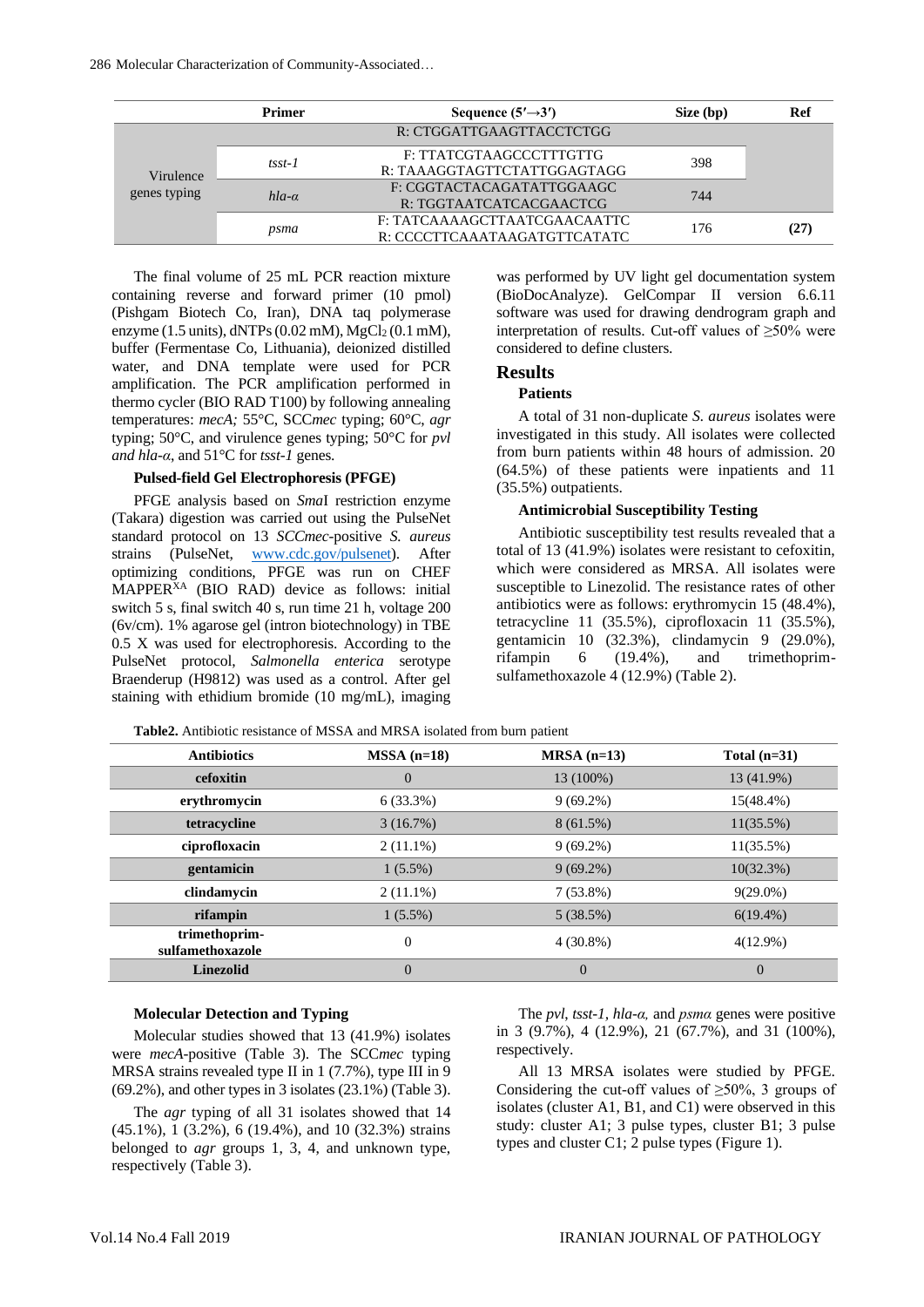|                           | <b>Primer</b> | Sequence $(5' \rightarrow 3')$ | Size (bp) | Ref |
|---------------------------|---------------|--------------------------------|-----------|-----|
| Virulence<br>genes typing |               | R: CTGGATTGAAGTTACCTCTGG       |           |     |
|                           | $tsst-1$      | F: TTATCGTAAGCCCTTTGTTG        | 398       |     |
|                           |               | R: TAAAGGTAGTTCTATTGGAGTAGG    |           |     |
|                           | $hla-a$       | F: CGGTACTACAGATATTGGAAGC      | 744       |     |
|                           |               | R: TGGTAATCATCACGAACTCG        |           |     |
|                           | psma          | F: TATCAAAAGCTTAATCGAACAATTC   | 176       |     |
|                           |               | R: CCCCTTCAAATAAGATGTTCATATC   |           |     |

The final volume of 25 mL PCR reaction mixture containing reverse and forward primer (10 pmol) (Pishgam Biotech Co, Iran), DNA taq polymerase enzyme (1.5 units),  $dNTPs$  (0.02 mM),  $MgCl<sub>2</sub>$  (0.1 mM), buffer (Fermentase Co, Lithuania), deionized distilled water, and DNA template were used for PCR amplification. The PCR amplification performed in thermo cycler (BIO RAD T100) by following annealing temperatures: *mecA;* 55°C, SCC*mec* typing; 60°C, *agr*  typing; 50°C, and virulence genes typing; 50°C for *pvl and hla-α*, and 51°C for *tsst-1* genes.

#### **Pulsed-field Gel Electrophoresis (PFGE)**

PFGE analysis based on *Sma*I restriction enzyme (Takara) digestion was carried out using the PulseNet standard protocol on 13 *SCCmec*-positive *S. aureus* strains (PulseNet, [www.cdc.gov/pulsenet\)](http://www.cdc.gov/pulsenet). After optimizing conditions, PFGE was run on CHEF MAPPERXA (BIO RAD) device as follows: initial switch 5 s, final switch 40 s, run time 21 h, voltage 200 (6v/cm). 1% agarose gel (intron biotechnology) in TBE 0.5 X was used for electrophoresis. According to the PulseNet protocol, *Salmonella enterica* serotype Braenderup (H9812) was used as a control. After gel staining with ethidium bromide (10 mg/mL), imaging

was performed by UV light gel documentation system (BioDocAnalyze). GelCompar II version 6.6.11 software was used for drawing dendrogram graph and interpretation of results. Cut-off values of ≥50% were considered to define clusters.

#### **Results**

#### **Patients**

A total of 31 non-duplicate *S. aureus* isolates were investigated in this study. All isolates were collected from burn patients within 48 hours of admission. 20 (64.5%) of these patients were inpatients and 11 (35.5%) outpatients.

#### **Antimicrobial Susceptibility Testing**

Antibiotic susceptibility test results revealed that a total of 13 (41.9%) isolates were resistant to cefoxitin, which were considered as MRSA. All isolates were susceptible to Linezolid. The resistance rates of other antibiotics were as follows: erythromycin 15 (48.4%), tetracycline 11 (35.5%), ciprofloxacin 11 (35.5%), gentamicin 10 (32.3%), clindamycin 9 (29.0%), rifampin 6 (19.4%), and trimethoprimsulfamethoxazole 4 (12.9%) (Table 2).

| <b>Table2.</b> Antibiotic resistance of MSSA and MRSA isolated from burn patient |  |  |
|----------------------------------------------------------------------------------|--|--|
|----------------------------------------------------------------------------------|--|--|

| <b>Antibiotics</b>                | $MSSA$ (n=18)  | $MRSA(n=13)$ | Total $(n=31)$ |
|-----------------------------------|----------------|--------------|----------------|
| cefoxitin                         | $\theta$       | 13 (100%)    | 13 (41.9%)     |
| erythromycin                      | 6(33.3%)       | $9(69.2\%)$  | 15(48.4%)      |
| tetracycline                      | 3(16.7%)       | $8(61.5\%)$  | $11(35.5\%)$   |
| ciprofloxacin                     | $2(11.1\%)$    | $9(69.2\%)$  | 11(35.5%)      |
| gentamicin                        | $1(5.5\%)$     | $9(69.2\%)$  | $10(32.3\%)$   |
| clindamycin                       | $2(11.1\%)$    | $7(53.8\%)$  | $9(29.0\%)$    |
| rifampin                          | $1(5.5\%)$     | 5(38.5%)     | $6(19.4\%)$    |
| trimethoprim-<br>sulfamethoxazole | $\overline{0}$ | $4(30.8\%)$  | $4(12.9\%)$    |
| <b>Linezolid</b>                  | $\overline{0}$ | $\theta$     | $\overline{0}$ |

### **Molecular Detection and Typing**

Molecular studies showed that 13 (41.9%) isolates were *mecA*-positive (Table 3). The SCC*mec* typing MRSA strains revealed type II in 1 (7.7%), type III in 9 (69.2%), and other types in 3 isolates (23.1%) (Table 3).

The *agr* typing of all 31 isolates showed that 14 (45.1%), 1 (3.2%), 6 (19.4%), and 10 (32.3%) strains belonged to *agr* groups 1, 3, 4, and unknown type, respectively (Table 3).

The *pvl*, *tsst-1, hla-α,* and *psmα* genes were positive in 3 (9.7%), 4 (12.9%), 21 (67.7%), and 31 (100%), respectively.

All 13 MRSA isolates were studied by PFGE. Considering the cut-off values of  $\geq 50\%$ , 3 groups of isolates (cluster A1, B1, and C1) were observed in this study: cluster A1; 3 pulse types, cluster B1; 3 pulse types and cluster C1; 2 pulse types (Figure 1).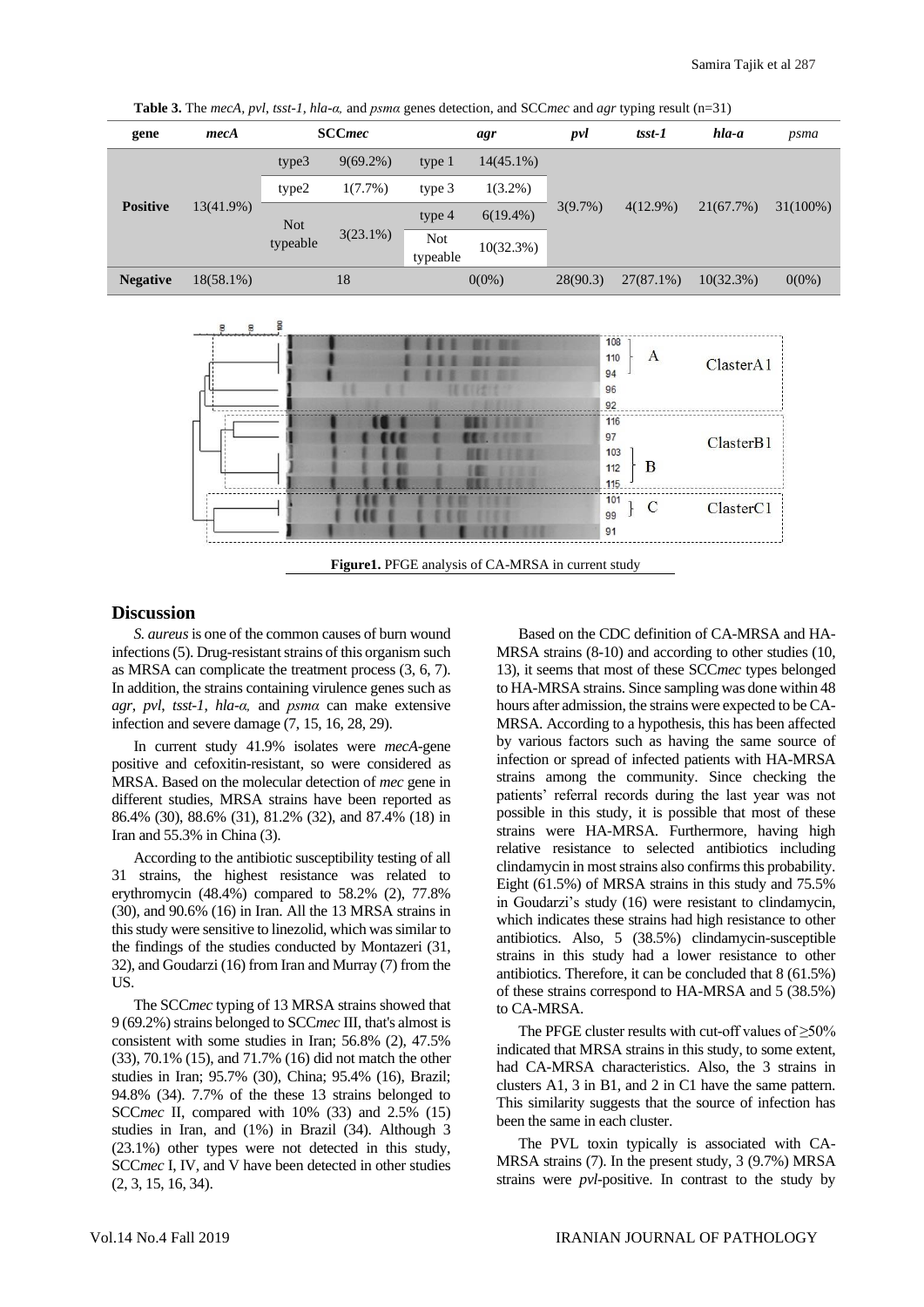**Table 3.** The *mecA, pvl*, *tsst-1, hla-α,* and *psmα* genes detection, and SCC*mec* and *agr* typing result (n=31)

| gene            | mecA         | <b>SCCmec</b> |             |                        | agr          | pvl         | $tsst-1$     | hla-a        | psma     |
|-----------------|--------------|---------------|-------------|------------------------|--------------|-------------|--------------|--------------|----------|
|                 |              | type3         | $9(69.2\%)$ | type 1                 | $14(45.1\%)$ |             |              |              |          |
|                 |              | type2         | $1(7.7\%)$  | type 3                 | $1(3.2\%)$   |             |              |              |          |
| <b>Positive</b> | $13(41.9\%)$ | <b>Not</b>    | type 4      | $6(19.4\%)$            | $3(9.7\%)$   | $4(12.9\%)$ | 21(67.7%)    | $31(100\%)$  |          |
|                 |              | typeable      | $3(23.1\%)$ | <b>Not</b><br>typeable | 10(32.3%)    |             |              |              |          |
| <b>Negative</b> | $18(58.1\%)$ |               | 18          |                        | $0(0\%)$     | 28(90.3)    | $27(87.1\%)$ | $10(32.3\%)$ | $0(0\%)$ |



# **Discussion**

*S. aureus*is one of the common causes of burn wound infections (5). Drug-resistant strains of this organism such as MRSA can complicate the treatment process (3, 6, 7). In addition, the strains containing virulence genes such as *agr*, *pvl*, *tsst-1*, *hla-α,* and *psmα* can make extensive infection and severe damage (7, 15, 16, 28, 29).

In current study 41.9% isolates were *mecA*-gene positive and cefoxitin-resistant, so were considered as MRSA. Based on the molecular detection of *mec* gene in different studies, MRSA strains have been reported as 86.4% (30), 88.6% (31), 81.2% (32), and 87.4% (18) in Iran and 55.3% in China (3).

According to the antibiotic susceptibility testing of all 31 strains, the highest resistance was related to erythromycin (48.4%) compared to 58.2% (2), 77.8% (30), and 90.6% (16) in Iran. All the 13 MRSA strains in this study were sensitive to linezolid, which was similar to the findings of the studies conducted by Montazeri (31, 32), and Goudarzi (16) from Iran and Murray (7) from the US.

The SCC*mec* typing of 13 MRSA strains showed that 9 (69.2%) strains belonged to SCC*mec* III, that's almost is consistent with some studies in Iran; 56.8% (2), 47.5% (33), 70.1% (15), and 71.7% (16) did not match the other studies in Iran; 95.7% (30), China; 95.4% (16), Brazil; 94.8% (34). 7.7% of the these 13 strains belonged to SCC*mec* II, compared with 10% (33) and 2.5% (15) studies in Iran, and (1%) in Brazil (34). Although 3 (23.1%) other types were not detected in this study, SCC*mec* I, IV, and V have been detected in other studies (2, 3, 15, 16, 34).

Based on the CDC definition of CA-MRSA and HA-MRSA strains (8-10) and according to other studies (10, 13), it seems that most of these SCC*mec* types belonged to HA-MRSA strains. Since sampling was done within 48 hours after admission, the strains were expected to be CA-MRSA. According to a hypothesis, this has been affected by various factors such as having the same source of infection or spread of infected patients with HA-MRSA strains among the community. Since checking the patients' referral records during the last year was not possible in this study, it is possible that most of these strains were HA-MRSA. Furthermore, having high relative resistance to selected antibiotics including clindamycin in most strains also confirms this probability. Eight (61.5%) of MRSA strains in this study and 75.5% in Goudarzi's study (16) were resistant to clindamycin, which indicates these strains had high resistance to other antibiotics. Also, 5 (38.5%) clindamycin-susceptible strains in this study had a lower resistance to other antibiotics. Therefore, it can be concluded that 8 (61.5%) of these strains correspond to HA-MRSA and 5 (38.5%) to CA-MRSA.

The PFGE cluster results with cut-off values of  $\geq 50\%$ indicated that MRSA strains in this study, to some extent, had CA-MRSA characteristics. Also, the 3 strains in clusters A1, 3 in B1, and 2 in C1 have the same pattern. This similarity suggests that the source of infection has been the same in each cluster.

The PVL toxin typically is associated with CA-MRSA strains (7). In the present study, 3 (9.7%) MRSA strains were *pvl*-positive. In contrast to the study by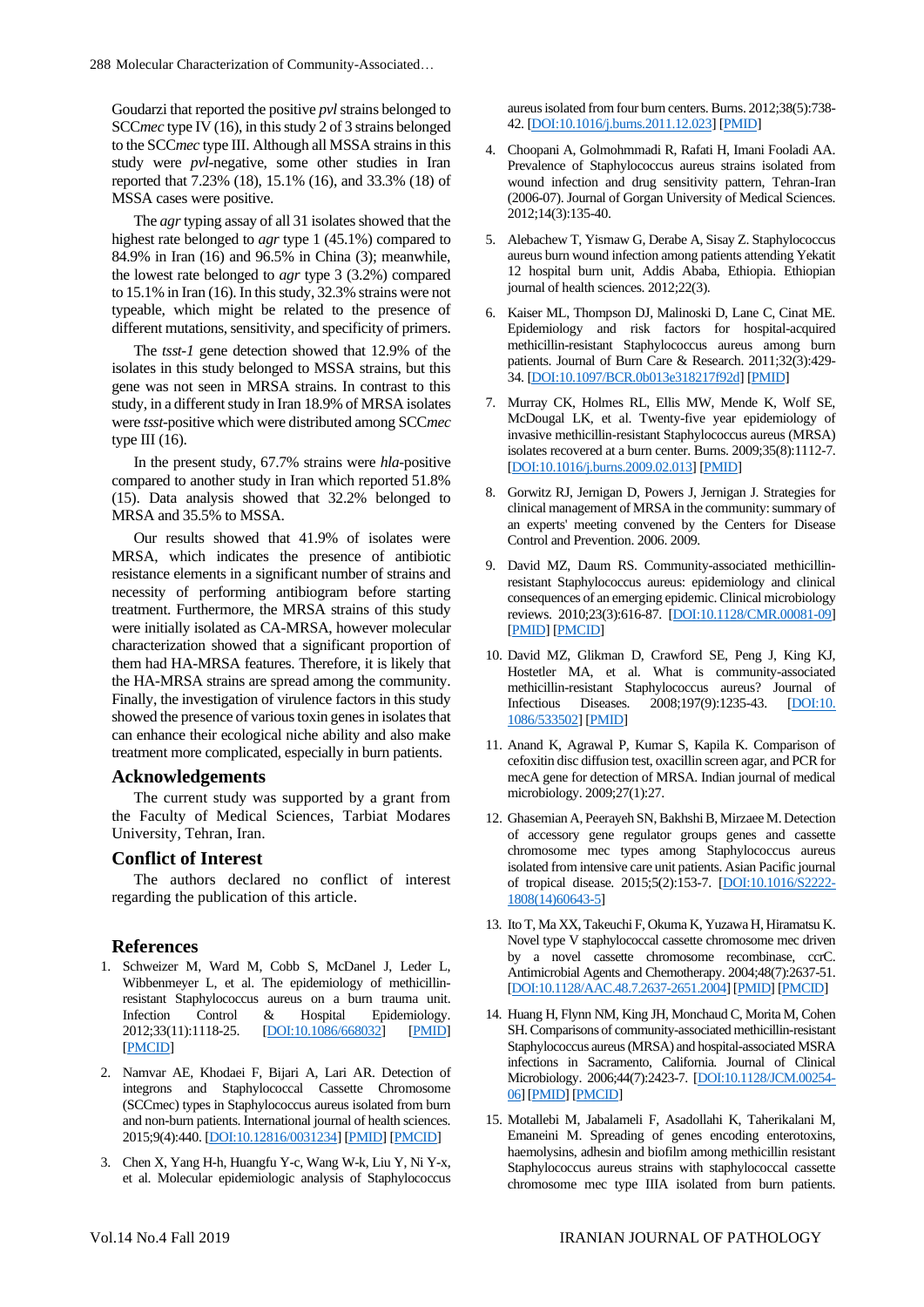Goudarzi that reported the positive *pvl*strains belonged to SCC*mec* type IV (16), in this study 2 of 3 strains belonged to the SCC*mec* type III. Although all MSSA strains in this study were *pvl*-negative, some other studies in Iran reported that 7.23% (18), 15.1% (16), and 33.3% (18) of MSSA cases were positive.

The *agr*typing assay of all 31 isolates showed that the highest rate belonged to *agr* type 1 (45.1%) compared to 84.9% in Iran (16) and 96.5% in China (3); meanwhile, the lowest rate belonged to *agr* type 3 (3.2%) compared to 15.1% in Iran (16). In this study, 32.3% strains were not typeable, which might be related to the presence of different mutations, sensitivity, and specificity of primers.

The *tsst-1* gene detection showed that 12.9% of the isolates in this study belonged to MSSA strains, but this gene was not seen in MRSA strains. In contrast to this study, in a different study in Iran 18.9% of MRSA isolates were *tsst*-positive which were distributed among SCC*mec* type III  $(16)$ .

In the present study, 67.7% strains were *hla*-positive compared to another study in Iran which reported 51.8% (15). Data analysis showed that 32.2% belonged to MRSA and 35.5% to MSSA.

Our results showed that 41.9% of isolates were MRSA, which indicates the presence of antibiotic resistance elements in a significant number of strains and necessity of performing antibiogram before starting treatment. Furthermore, the MRSA strains of this study were initially isolated as CA-MRSA, however molecular characterization showed that a significant proportion of them had HA-MRSA features. Therefore, it is likely that the HA-MRSA strains are spread among the community. Finally, the investigation of virulence factors in this study showed the presence of various toxin genes in isolates that can enhance their ecological niche ability and also make treatment more complicated, especially in burn patients.

# **Acknowledgements**

The current study was supported by a grant from the Faculty of Medical Sciences, Tarbiat Modares University, Tehran, Iran.

# **Conflict of Interest**

The authors declared no conflict of interest regarding the publication of this article.

# **References**

- 1. Schweizer M, Ward M, Cobb S, McDanel J, Leder L, Wibbenmeyer L, et al. The epidemiology of methicillinresistant Staphylococcus aureus on a burn trauma unit. Infection Control & Hospital Epidemiology. 2012;33(11):1118-25. [\[DOI:10.1086/668032\]](https://doi.org/10.1086/668032) [\[PMID\]](https://www.ncbi.nlm.nih.gov/pubmed/23041810) [\[PMCID\]](http://www.ncbi.nlm.nih.gov/pmc/articles/PMC4447144)
- 2. Namvar AE, Khodaei F, Bijari A, Lari AR. Detection of integrons and Staphylococcal Cassette Chromosome (SCCmec) types in Staphylococcus aureus isolated from burn and non-burn patients. International journal of health sciences. 2015;9(4):440. [\[DOI:10.12816/0031234\]](https://doi.org/10.12816/0031234) [\[PMID\]](https://www.ncbi.nlm.nih.gov/pubmed/26715924) [\[PMCID\]](http://www.ncbi.nlm.nih.gov/pmc/articles/PMC4682599)
- 3. Chen X, Yang H-h, Huangfu Y-c, Wang W-k, Liu Y, Ni Y-x, et al. Molecular epidemiologic analysis of Staphylococcus

aureus isolated from four burn centers. Burns. 2012;38(5):738- 42. [\[DOI:10.1016/j.burns.2011.12.023\]](https://doi.org/10.1016/j.burns.2011.12.023) [\[PMID\]](https://www.ncbi.nlm.nih.gov/pubmed/22360963)

- 4. Choopani A, Golmohmmadi R, Rafati H, Imani Fooladi AA. Prevalence of Staphylococcus aureus strains isolated from wound infection and drug sensitivity pattern, Tehran-Iran (2006-07). Journal of Gorgan University of Medical Sciences. 2012;14(3):135-40.
- 5. Alebachew T, Yismaw G, Derabe A, Sisay Z. Staphylococcus aureus burn wound infection among patients attending Yekatit 12 hospital burn unit, Addis Ababa, Ethiopia. Ethiopian journal of health sciences. 2012;22(3).
- 6. Kaiser ML, Thompson DJ, Malinoski D, Lane C, Cinat ME. Epidemiology and risk factors for hospital-acquired methicillin-resistant Staphylococcus aureus among burn patients. Journal of Burn Care & Research. 2011;32(3):429- 34. [\[DOI:10.1097/BCR.0b013e318217f92d\]](https://doi.org/10.1097/BCR.0b013e318217f92d) [\[PMID\]](https://www.ncbi.nlm.nih.gov/pubmed/21422940)
- 7. Murray CK, Holmes RL, Ellis MW, Mende K, Wolf SE, McDougal LK, et al. Twenty-five year epidemiology of invasive methicillin-resistant Staphylococcus aureus (MRSA) isolates recovered at a burn center. Burns. 2009;35(8):1112-7. [\[DOI:10.1016/j.burns.2009.02.013\]](https://doi.org/10.1016/j.burns.2009.02.013) [\[PMID\]](https://www.ncbi.nlm.nih.gov/pubmed/19477601)
- 8. Gorwitz RJ, Jernigan D, Powers J, Jernigan J. Strategies for clinical management of MRSA in the community: summary of an experts' meeting convened by the Centers for Disease Control and Prevention. 2006. 2009.
- 9. David MZ, Daum RS. Community-associated methicillinresistant Staphylococcus aureus: epidemiology and clinical consequences of an emerging epidemic. Clinical microbiology reviews. 2010;23(3):616-87. [\[DOI:10.1128/CMR.00081-09\]](https://doi.org/10.1128/CMR.00081-09) [\[PMID\]](https://www.ncbi.nlm.nih.gov/pubmed/20610826) [\[PMCID\]](http://www.ncbi.nlm.nih.gov/pmc/articles/PMC2901661)
- 10. David MZ, Glikman D, Crawford SE, Peng J, King KJ, Hostetler MA, et al. What is community-associated methicillin-resistant Staphylococcus aureus? Journal of Infectious Diseases. 2008;197(9):1235-43. [\[DOI:10.](https://doi.org/10.1086/533502) [1086/533502\]](https://doi.org/10.1086/533502) [\[PMID\]](https://www.ncbi.nlm.nih.gov/pubmed/18422435)
- 11. Anand K, Agrawal P, Kumar S, Kapila K. Comparison of cefoxitin disc diffusion test, oxacillin screen agar, and PCR for mecA gene for detection of MRSA. Indian journal of medical microbiology. 2009;27(1):27.
- 12. Ghasemian A, Peerayeh SN, Bakhshi B, Mirzaee M. Detection of accessory gene regulator groups genes and cassette chromosome mec types among Staphylococcus aureus isolated from intensive care unit patients. Asian Pacific journal of tropical disease. 2015;5(2):153-7. [\[DOI:10.1016/S2222-](https://doi.org/10.1016/S2222-1808(14)60643-5) [1808\(14\)60643-5\]](https://doi.org/10.1016/S2222-1808(14)60643-5)
- 13. Ito T, Ma XX, Takeuchi F, Okuma K, Yuzawa H, Hiramatsu K. Novel type V staphylococcal cassette chromosome mec driven by a novel cassette chromosome recombinase, ccrC. Antimicrobial Agents and Chemotherapy. 2004;48(7):2637-51. [\[DOI:10.1128/AAC.48.7.2637-2651.2004\]](https://doi.org/10.1128/AAC.48.7.2637-2651.2004) [\[PMID\]](https://www.ncbi.nlm.nih.gov/pubmed/15215121) [\[PMCID\]](http://www.ncbi.nlm.nih.gov/pmc/articles/PMC434217)
- 14. Huang H, Flynn NM, King JH, Monchaud C, Morita M, Cohen SH. Comparisons of community-associated methicillin-resistant Staphylococcus aureus (MRSA) and hospital-associated MSRA infections in Sacramento, California. Journal of Clinical Microbiology. 2006;44(7):2423-7. [\[DOI:10.1128/JCM.00254-](https://doi.org/10.1128/JCM.00254-06) [06\]](https://doi.org/10.1128/JCM.00254-06) [\[PMID\]](https://www.ncbi.nlm.nih.gov/pubmed/16825359) [\[PMCID\]](http://www.ncbi.nlm.nih.gov/pmc/articles/PMC1489486)
- 15. Motallebi M, Jabalameli F, Asadollahi K, Taherikalani M, Emaneini M. Spreading of genes encoding enterotoxins, haemolysins, adhesin and biofilm among methicillin resistant Staphylococcus aureus strains with staphylococcal cassette chromosome mec type IIIA isolated from burn patients.